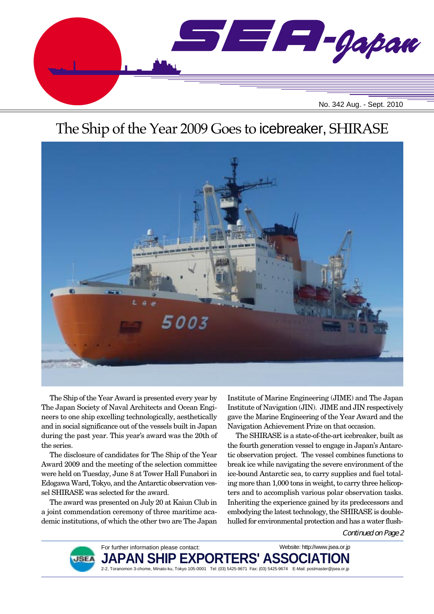

# The Ship of the Year 2009 Goes to icebreaker, SHIRASE



The Ship of the Year Award is presented every year by The Japan Society of Naval Architects and Ocean Engineers to one ship excelling technologically, aesthetically and in social significance out of the vessels built in Japan during the past year. This year's award was the 20th of the series.

The disclosure of candidates for The Ship of the Year Award 2009 and the meeting of the selection committee were held on Tuesday, June 8 at Tower Hall Funabori in Edogawa Ward, Tokyo, and the Antarctic observation vessel SHIRASE was selected for the award.

The award was presented on July 20 at Kaiun Club in a joint commendation ceremony of three maritime academic institutions, of which the other two are The Japan

Institute of Marine Engineering (JIME) and The Japan Institute of Navigation (JIN). JIME and JIN respectively gave the Marine Engineering of the Year Award and the Navigation Achievement Prize on that occasion.

The SHIRASE is a state-of-the-art icebreaker, built as the fourth generation vessel to engage in Japan's Antarctic observation project. The vessel combines functions to break ice while navigating the severe environment of the ice-bound Antarctic sea, to carry supplies and fuel totaling more than 1,000 tons in weight, to carry three helicopters and to accomplish various polar observation tasks. Inheriting the experience gained by its predecessors and embodying the latest technology, the SHIRASE is doublehulled for environmental protection and has a water flush-

Continued on Page 2



For further information please contact: JAPAN SHIP EXPORTERS' ASSO 2-2, Toranomon 3-chome, Minato-ku, Tokyo 105-0001 Tel: (03) 5425-9671 Fax: (03) 5425-9674 E-Mail: postmaster@jsea.or.jp Website: http://www.jsea.or.jp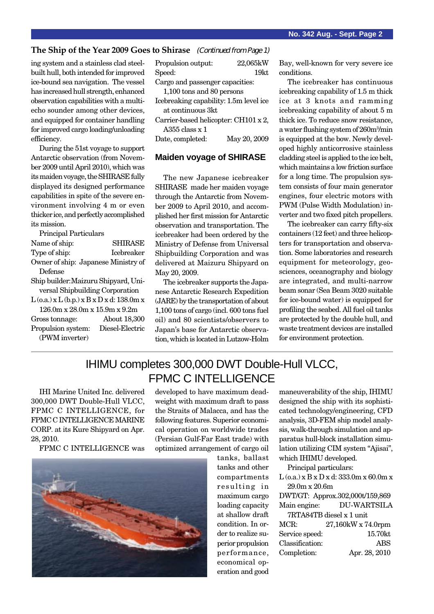#### **The Ship of the Year 2009 Goes to Shirase** (Continued from Page 1)

ing system and a stainless clad steelbuilt hull, both intended for improved ice-bound sea navigation. The vessel has increased hull strength, enhanced observation capabilities with a multiecho sounder among other devices, and equipped for container handling for improved cargo loading/unloading efficiency.

During the 51st voyage to support Antarctic observation (from November 2009 until April 2010), which was its maiden voyage, the SHIRASE fully displayed its designed performance capabilities in spite of the severe environment involving 4 m or even thicker ice, and perfectly accomplished its mission.

| Principal Particulars                             |                   |
|---------------------------------------------------|-------------------|
| Name of ship:                                     | <b>SHIRASE</b>    |
| Type of ship:                                     | <b>Icebreaker</b> |
| Owner of ship: Japanese Ministry of               |                   |
| Defense                                           |                   |
| Ship builder: Maizuru Shipyard, Uni-              |                   |
| versal Shipbuilding Corporation                   |                   |
| $L$ (o.a.) x $L$ (b.p.) x $B$ x $D$ x d: 138.0m x |                   |
| $126.0$ m x $28.0$ m x $15.9$ m x $9.2$ m         |                   |
| Gross tonnage:                                    | About 18,300      |
| Propulsion system:                                | Diesel-Electric   |
| (PWM inverter)                                    |                   |
|                                                   |                   |

| Propulsion output:                     | 22,065kW     |  |
|----------------------------------------|--------------|--|
| Speed:                                 | 19kt         |  |
| Cargo and passenger capacities:        |              |  |
| 1,100 tons and 80 persons              |              |  |
| Icebreaking capability: 1.5m level ice |              |  |
| at continuous 3kt                      |              |  |
| Carrier-based helicopter: CH101 x 2,   |              |  |
| A355 class $x$ 1                       |              |  |
| Date, completed:                       | May 20, 2009 |  |

#### **Maiden voyage of SHIRASE**

The new Japanese icebreaker SHIRASE made her maiden voyage through the Antarctic from November 2009 to April 2010, and accomplished her first mission for Antarctic observation and transportation. The icebreaker had been ordered by the Ministry of Defense from Universal Shipbuilding Corporation and was delivered at Maizuru Shipyard on May 20, 2009.

The icebreaker supports the Japanese Antarctic Research Expedition (JARE) by the transportation of about 1,100 tons of cargo (incl. 600 tons fuel oil) and 80 scientists/observers to Japan's base for Antarctic observation, which is located in Lutzow-Holm Bay, well-known for very severe ice conditions.

The icebreaker has continuous icebreaking capability of 1.5 m thick ice at 3 knots and ramming icebreaking capability of about 5 m thick ice. To reduce snow resistance, a water flushing system of 260m3 /min is equipped at the bow. Newly developed highly anticorrosive stainless cladding steel is applied to the ice belt, which maintains a low friction surface for a long time. The propulsion system consists of four main generator engines, four electric motors with PWM (Pulse Width Modulation) inverter and two fixed pitch propellers.

The icebreaker can carry fifty-six containers (12 feet) and three helicopters for transportation and observation. Some laboratories and research equipment for meteorology, geosciences, oceanography and biology are integrated, and multi-narrow beam sonar (Sea Beam 3020 suitable for ice-bound water) is equipped for profiling the seabed. All fuel oil tanks are protected by the double hull, and waste treatment devices are installed for environment protection.

### IHIMU completes 300,000 DWT Double-Hull VLCC, FPMC C INTELLIGENCE

IHI Marine United Inc. delivered 300,000 DWT Double-Hull VLCC, FPMC C INTELLIGENCE, for FPMC C INTELLIGENCE MARINE CORP. at its Kure Shipyard on Apr. 28, 2010.

FPMC C INTELLIGENCE was



developed to have maximum deadweight with maximum draft to pass the Straits of Malacca, and has the following features. Superior economical operation on worldwide trades (Persian Gulf-Far East trade) with optimized arrangement of cargo oil

tanks, ballast tanks and other compartments resulting in maximum cargo loading capacity at shallow draft condition. In order to realize superior propulsion performance, economical operation and good

maneuverability of the ship, IHIMU designed the ship with its sophisticated technology/engineering, CFD analysis, 3D-FEM ship model analysis, walk-through simulation and apparatus hull-block installation simulation utilizing CIM system "Ajisai", which IHIMU developed.

Principal particulars:

 $L$  (o.a.) x  $B$  x  $D$  x d: 333.0m x 60.0m x 29.0m x 20.6m

DWT/GT: Approx.302,000t/159,869 Main engine: DU-WARTSILA

7RTA84TB diesel x 1 unit

| MCR:            | 27,160kW x 74.0rpm |
|-----------------|--------------------|
| Service speed:  | 15.70kt            |
| Classification: | <b>ABS</b>         |
| Completion:     | Apr. 28, 2010      |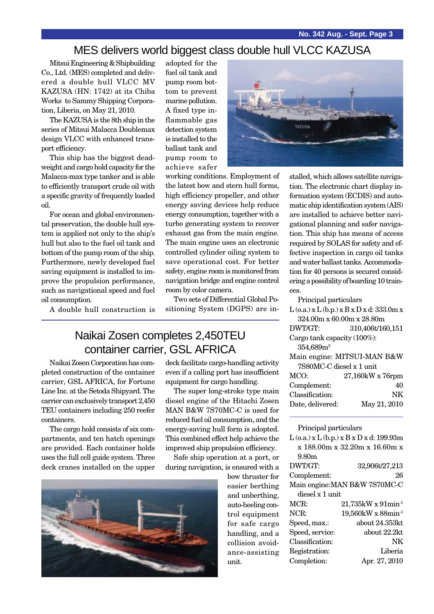#### MES delivers world biggest class double hull VLCC KAZUSA

Mitsui Engineering & Shipbuilding Co., Ltd. (MES) completed and delivered a double hull VLCC MV KAZUSA (HN: 1742) at its Chiba Works to Sammy Shipping Corporation, Liberia, on May 21, 2010.

The KAZUSA is the 8th ship in the series of Mitsui Malacca Doublemax design VLCC with enhanced transport efficiency.

This ship has the biggest deadweight and cargo hold capacity for the Malacca-max type tanker and is able to efficiently transport crude oil with a specific gravity of frequently loaded oil.

For ocean and global environmental preservation, the double hull system is applied not only to the ship's hull but also to the fuel oil tank and bottom of the pump room of the ship. Furthermore, newly developed fuel saving equipment is installed to improve the propulsion performance, such as navigational speed and fuel oil consumption.

A double hull construction is

adopted for the fuel oil tank and pump room bottom to prevent marine pollution. A fixed type inflammable gas detection system is installed to the ballast tank and pump room to achieve safer



working conditions. Employment of the latest bow and stern hull forms, high efficiency propeller, and other energy saving devices help reduce energy consumption, together with a turbo generating system to recover exhaust gas from the main engine. The main engine uses an electronic controlled cylinder oiling system to save operational cost. For better safety, engine room is monitored from navigation bridge and engine control room by color camera.

Two sets of Differential Global Positioning System (DGPS) are in-

## Naikai Zosen completes 2,450TEU container carrier, GSL AFRICA

Naikai Zosen Corporation has completed construction of the container carrier, GSL AFRICA, for Fortune Line Inc. at the Setoda Shipyard. The carrier can exclusively transport 2,450 TEU containers including 250 reefer containers.

The cargo hold consists of six compartments, and ten hatch openings are provided. Each container holds uses the full cell guide system. Three deck cranes installed on the upper deck facilitate cargo-handling activity even if a calling port has insufficient equipment for cargo handling.

The super long-stroke type main diesel engine of the Hitachi Zosen MAN B&W 7S70MC-C is used for reduced fuel oil consumption, and the energy-saving hull form is adopted. This combined effect help achieve the improved ship propulsion efficiency.

Safe ship operation at a port, or during navigation, is ensured with a



bow thruster for easier berthing and unberthing, auto-heeling control equipment for safe cargo handling, and a collision avoidance-assisting unit.

stalled, which allows satellite navigation. The electronic chart display information system (ECDIS) and automatic ship identification system (AIS) are installed to achieve better navigational planning and safer navigation. This ship has means of access required by SOLAS for safety and effective inspection in cargo oil tanks and water ballast tanks. Accommodation for 40 persons is secured considering a possibility of boarding 10 trainees.

Principal particulars

| $L$ (o.a.) x $L$ (b.p.) x $B$ x $D$ x d: 333.0m x |                  |  |
|---------------------------------------------------|------------------|--|
| 324.00m x 60.00m x 28.80m                         |                  |  |
| DWT/GT:                                           | 310,406t/160,151 |  |
| Cargo tank capacity (100%):                       |                  |  |
| 354,689m <sup>3</sup>                             |                  |  |
| Main engine: MITSUI-MAN B&W                       |                  |  |
| 7S80MC-C diesel x 1 unit                          |                  |  |
| MCO:                                              | 27,160kW x 76rpm |  |
| Complement:                                       | 40               |  |
| Classification:                                   | NK               |  |
| Date, delivered:                                  | May 21, 2010     |  |
|                                                   |                  |  |

Principal particulars

| $L$ (o.a.) x $L$ (b.p.) x $B$ x $D$ x d: 199.93m |                                      |  |
|--------------------------------------------------|--------------------------------------|--|
| x 188.00m x 32.20m x 16.60m x                    |                                      |  |
| 9.80m                                            |                                      |  |
| DWT/GT:                                          | 32,906t/27,213                       |  |
| Complement:                                      | 26                                   |  |
| Main engine: MAN B&W 7S70MC-C                    |                                      |  |
| diesel x 1 unit                                  |                                      |  |
| MCR:                                             | $21,735$ kW x $91$ min <sup>-1</sup> |  |
| NCR:                                             | 19,560kW x 88min <sup>-1</sup>       |  |
| Speed, max.:                                     | about 24.353kt                       |  |
| Speed, service:                                  | about 22.2kt                         |  |
| Classification:                                  | NΚ                                   |  |
| Registration:                                    | Liberia                              |  |
| Completion:                                      | Apr. 27, 2010                        |  |
|                                                  |                                      |  |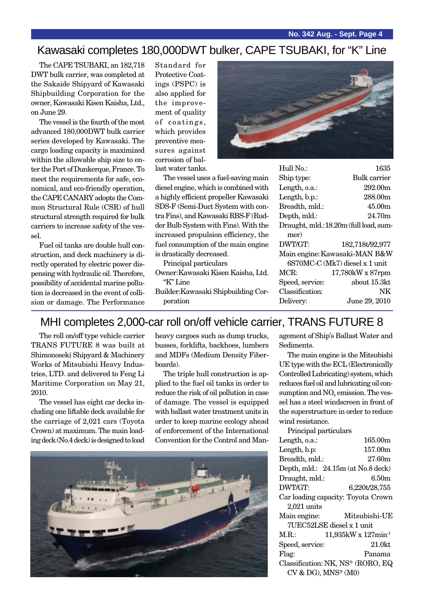#### Kawasaki completes 180,000DWT bulker, CAPE TSUBAKI, for "K" Line

The CAPE TSUBAKI, an 182,718 DWT bulk carrier, was completed at the Sakaide Shipyard of Kawasaki Shipbuilding Corporation for the owner, Kawasaki Kisen Kaisha, Ltd., on June 29.

The vessel is the fourth of the most advanced 180,000DWT bulk carrier series developed by Kawasaki. The cargo loading capacity is maximized within the allowable ship size to enter the Port of Dunkerque, France. To meet the requirements for safe, economical, and eco-friendly operation, the CAPE CANARY adopts the Common Structural Rule (CSR) of hull structural strength required for bulk carriers to increase safety of the vessel.

Fuel oil tanks are double hull construction, and deck machinery is directly operated by electric power dispensing with hydraulic oil. Therefore, possibility of accidental marine pollution is decreased in the event of collision or damage. The Performance Standard for Protective Coatings (PSPC) is also applied for the improvement of quality of coatings, which provides preventive measures against corrosion of ballast water tanks.



The vessel uses a fuel-saving main diesel engine, which is combined with a highly efficient propeller Kawasaki SDS-F (Semi-Duct System with contra Fins), and Kawasaki RBS-F (Rudder Bulb System with Fins). With the increased propulsion efficiency, the fuel consumption of the main engine is drastically decreased.

Principal particulars

- Owner:Kawasaki Kisen Kaisha, Ltd. "K" Line
- Builder:Kawasaki Shipbuilding Corporation

| 11011 190       |                                       |
|-----------------|---------------------------------------|
| Ship type:      | Bulk carrier                          |
| Length, o.a.:   | 292.00m                               |
| Length, b.p.:   | 288.00m                               |
| Breadth, mld.:  | 45.00m                                |
| Depth, mld.:    | 24.70m                                |
|                 | Draught, mld.:18.20m (full load, sum- |
| mer)            |                                       |
| DWT/GT:         | 182,718t/92,977                       |
|                 | Main engine: Kawasaki-MAN B&W         |
|                 | 6S70MC-C (Mk7) diesel x 1 unit        |
| MCR:            | 17,780kW x 87rpm                      |
| Speed, service: | about 15.3kt                          |
| Classification: | NK                                    |
| Delivery:       | June 29, 2010                         |
|                 |                                       |

 $H<sub>10</sub>H<sub>0</sub>$ ,  $1695$ 

### MHI completes 2,000-car roll on/off vehicle carrier, TRANS FUTURE 8

The roll on/off type vehicle carrier TRANS FUTURE 8 was built at Shimonoseki Shipyard & Machinery Works of Mitsubishi Heavy Industries, LTD. and delivered to Feng Li Maritime Corporation on May 21, 2010.

The vessel has eight car decks including one liftable deck available for the carriage of 2,021 cars (Toyota Crown) at maximum. The main loading deck (No.4 deck) is designed to load heavy cargoes such as dump trucks, busses, forklifts, backhoes, lumbers and MDFs (Medium Density Fiberboards).

The triple hull construction is applied to the fuel oil tanks in order to reduce the risk of oil pollution in case of damage. The vessel is equipped with ballast water treatment units in order to keep marine ecology ahead of enforcement of the International Convention for the Control and Man-



agement of Ship's Ballast Water and Sediments.

The main engine is the Mitsubishi UE type with the ECL (Electronically Controlled Lubricating) system, which reduces fuel oil and lubricating oil consumption and NO<sub>y</sub> emission. The vessel has a steel windscreen in front of the superstructure in order to reduce wind resistance.

Principal particulars

| Length, o.a.:   | 165.00m                            |
|-----------------|------------------------------------|
| Length, b.p:    | 157.00m                            |
| Breadth, mld.:  | 27.60m                             |
|                 | Depth, mld.: 24.15m (at No.8 deck) |
| Draught, mld.:  | 6.50m                              |
| DWT/GT:         | 6,220t/28,755                      |
|                 | Car loading capacity: Toyota Crown |
| $2,021$ units   |                                    |
| Main engine:    | Mitsubishi-UE                      |
|                 | 7UEC52LSE diesel x 1 unit          |
| M.R.:           | 11,935kW x 127min <sup>-1</sup>    |
| Speed, service: | $21.0$ kt                          |
| Flag:           | Panama                             |
|                 | Classification: NK, NS* (RORO, EQ  |
|                 | CV & DG), MNS* (M0)                |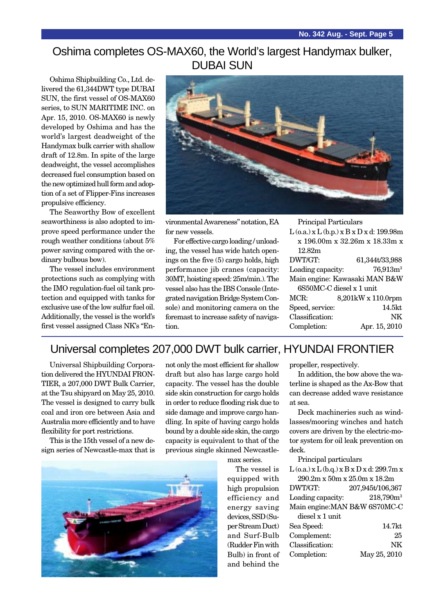### Oshima completes OS-MAX60, the World's largest Handymax bulker, DUBAI SUN

Oshima Shipbuilding Co., Ltd. delivered the 61,344DWT type DUBAI SUN, the first vessel of OS-MAX60 series, to SUN MARITIME INC. on Apr. 15, 2010. OS-MAX60 is newly developed by Oshima and has the world's largest deadweight of the Handymax bulk carrier with shallow draft of 12.8m. In spite of the large deadweight, the vessel accomplishes decreased fuel consumption based on the new optimized hull form and adoption of a set of Flipper-Fins increases propulsive efficiency.

The Seaworthy Bow of excellent seaworthiness is also adopted to improve speed performance under the rough weather conditions (about 5% power saving compared with the ordinary bulbous bow).

The vessel includes environment protections such as complying with the IMO regulation-fuel oil tank protection and equipped with tanks for exclusive use of the low sulfur fuel oil. Additionally, the vessel is the world's first vessel assigned Class NK's "En-



vironmental Awareness" notation, EA for new vessels.

For effective cargo loading / unloading, the vessel has wide hatch openings on the five (5) cargo holds, high performance jib cranes (capacity: 30MT, hoisting speed: 25m/min.). The vessel also has the IBS Console (Integrated navigation Bridge System Console) and monitoring camera on the foremast to increase safety of navigation.

| Principal Particulars                            |                          |  |
|--------------------------------------------------|--------------------------|--|
| $L$ (o.a.) x $L$ (b.p.) x $B$ x $D$ x d: 199.98m |                          |  |
| x 196.00m x 32.26m x 18.33m x                    |                          |  |
| 12.82m                                           |                          |  |
| DWT/GT:                                          | 61,344t/33,988           |  |
| Loading capacity:                                | 76,913m <sup>3</sup>     |  |
| Main engine: Kawasaki MAN B&W                    |                          |  |
|                                                  | 6S50MC-C diesel x 1 unit |  |
| MCR:                                             | 8,201kW x 110.0rpm       |  |
| Speed, service:                                  | 14.5kt                   |  |
| Classification:                                  | NK                       |  |
| Completion:                                      | Apr. 15, 2010            |  |

# Universal completes 207,000 DWT bulk carrier, HYUNDAI FRONTIER

Universal Shipbuilding Corporation delivered the HYUNDAI FRON-TIER, a 207,000 DWT Bulk Carrier, at the Tsu shipyard on May 25, 2010. The vessel is designed to carry bulk coal and iron ore between Asia and Australia more efficiently and to have flexibility for port restrictions.

This is the 15th vessel of a new design series of Newcastle-max that is not only the most efficient for shallow draft but also has large cargo hold capacity. The vessel has the double side skin construction for cargo holds in order to reduce flooding risk due to side damage and improve cargo handling. In spite of having cargo holds bound by a double side skin, the cargo capacity is equivalent to that of the previous single skinned Newcastle-

max series.

The vessel is equipped with high propulsion efficiency and energy saving devices, SSD (Super Stream Duct) and Surf-Bulb (Rudder Fin with Bulb) in front of and behind the

propeller, respectively.

In addition, the bow above the waterline is shaped as the Ax-Bow that can decrease added wave resistance at sea.

Deck machineries such as windlasses/mooring winches and hatch covers are driven by the electric-motor system for oil leak prevention on deck.

|  | Principal particulars |  |
|--|-----------------------|--|
|  |                       |  |

| $L$ (o.a.) x $L$ (b.q.) x $B$ x $D$ x d: 299.7m x |                       |
|---------------------------------------------------|-----------------------|
| 290.2m x 50m x 25.0m x 18.2m                      |                       |
| DWT/GT:                                           | 207,945t/106,367      |
| Loading capacity:                                 | 218,790m <sup>3</sup> |
| Main engine: MAN B&W 6S70MC-C                     |                       |
| diesel x 1 unit                                   |                       |
| Sea Speed:                                        | 14.7kt                |
| Complement:                                       | 25                    |
| Classification:                                   | NK                    |
| Completion:                                       | May 25, 2010          |
|                                                   |                       |